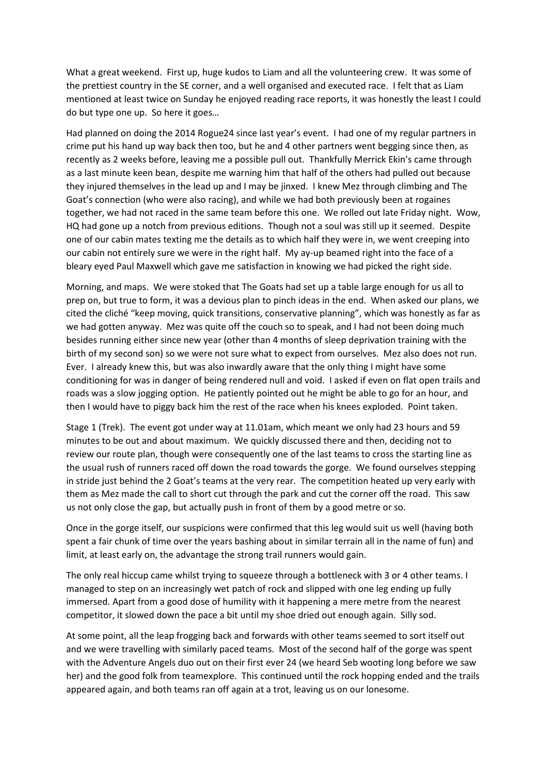What a great weekend. First up, huge kudos to Liam and all the volunteering crew. It was some of the prettiest country in the SE corner, and a well organised and executed race. I felt that as Liam mentioned at least twice on Sunday he enjoyed reading race reports, it was honestly the least I could do but type one up. So here it goes…

Had planned on doing the 2014 Rogue24 since last year's event. I had one of my regular partners in crime put his hand up way back then too, but he and 4 other partners went begging since then, as recently as 2 weeks before, leaving me a possible pull out. Thankfully Merrick Ekin's came through as a last minute keen bean, despite me warning him that half of the others had pulled out because they injured themselves in the lead up and I may be jinxed. I knew Mez through climbing and The Goat's connection (who were also racing), and while we had both previously been at rogaines together, we had not raced in the same team before this one. We rolled out late Friday night. Wow, HQ had gone up a notch from previous editions. Though not a soul was still up it seemed. Despite one of our cabin mates texting me the details as to which half they were in, we went creeping into our cabin not entirely sure we were in the right half. My ay-up beamed right into the face of a bleary eyed Paul Maxwell which gave me satisfaction in knowing we had picked the right side.

Morning, and maps. We were stoked that The Goats had set up a table large enough for us all to prep on, but true to form, it was a devious plan to pinch ideas in the end. When asked our plans, we cited the cliché "keep moving, quick transitions, conservative planning", which was honestly as far as we had gotten anyway. Mez was quite off the couch so to speak, and I had not been doing much besides running either since new year (other than 4 months of sleep deprivation training with the birth of my second son) so we were not sure what to expect from ourselves. Mez also does not run. Ever. I already knew this, but was also inwardly aware that the only thing I might have some conditioning for was in danger of being rendered null and void. I asked if even on flat open trails and roads was a slow jogging option. He patiently pointed out he might be able to go for an hour, and then I would have to piggy back him the rest of the race when his knees exploded. Point taken.

Stage 1 (Trek). The event got under way at 11.01am, which meant we only had 23 hours and 59 minutes to be out and about maximum. We quickly discussed there and then, deciding not to review our route plan, though were consequently one of the last teams to cross the starting line as the usual rush of runners raced off down the road towards the gorge. We found ourselves stepping in stride just behind the 2 Goat's teams at the very rear. The competition heated up very early with them as Mez made the call to short cut through the park and cut the corner off the road. This saw us not only close the gap, but actually push in front of them by a good metre or so.

Once in the gorge itself, our suspicions were confirmed that this leg would suit us well (having both spent a fair chunk of time over the years bashing about in similar terrain all in the name of fun) and limit, at least early on, the advantage the strong trail runners would gain.

The only real hiccup came whilst trying to squeeze through a bottleneck with 3 or 4 other teams. I managed to step on an increasingly wet patch of rock and slipped with one leg ending up fully immersed. Apart from a good dose of humility with it happening a mere metre from the nearest competitor, it slowed down the pace a bit until my shoe dried out enough again. Silly sod.

At some point, all the leap frogging back and forwards with other teams seemed to sort itself out and we were travelling with similarly paced teams. Most of the second half of the gorge was spent with the Adventure Angels duo out on their first ever 24 (we heard Seb wooting long before we saw her) and the good folk from teamexplore. This continued until the rock hopping ended and the trails appeared again, and both teams ran off again at a trot, leaving us on our lonesome.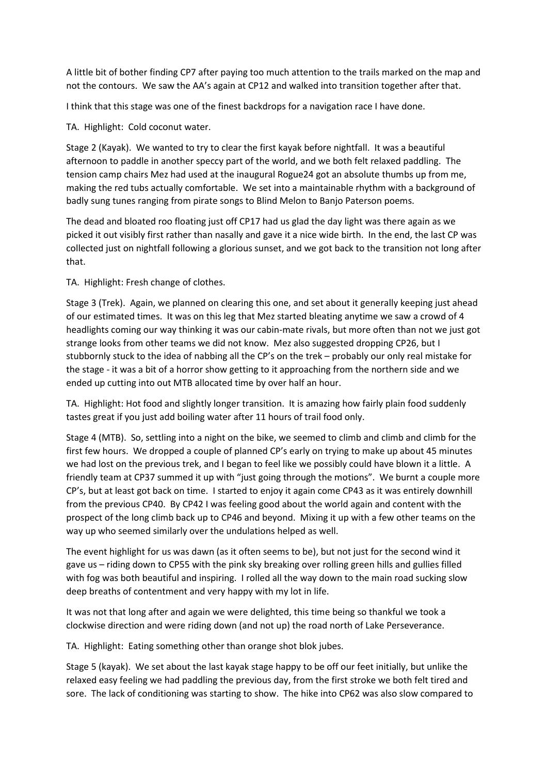A little bit of bother finding CP7 after paying too much attention to the trails marked on the map and not the contours. We saw the AA's again at CP12 and walked into transition together after that.

I think that this stage was one of the finest backdrops for a navigation race I have done.

TA. Highlight: Cold coconut water.

Stage 2 (Kayak). We wanted to try to clear the first kayak before nightfall. It was a beautiful afternoon to paddle in another speccy part of the world, and we both felt relaxed paddling. The tension camp chairs Mez had used at the inaugural Rogue24 got an absolute thumbs up from me, making the red tubs actually comfortable. We set into a maintainable rhythm with a background of badly sung tunes ranging from pirate songs to Blind Melon to Banjo Paterson poems.

The dead and bloated roo floating just off CP17 had us glad the day light was there again as we picked it out visibly first rather than nasally and gave it a nice wide birth. In the end, the last CP was collected just on nightfall following a glorious sunset, and we got back to the transition not long after that.

TA. Highlight: Fresh change of clothes.

Stage 3 (Trek). Again, we planned on clearing this one, and set about it generally keeping just ahead of our estimated times. It was on this leg that Mez started bleating anytime we saw a crowd of 4 headlights coming our way thinking it was our cabin-mate rivals, but more often than not we just got strange looks from other teams we did not know. Mez also suggested dropping CP26, but I stubbornly stuck to the idea of nabbing all the CP's on the trek – probably our only real mistake for the stage - it was a bit of a horror show getting to it approaching from the northern side and we ended up cutting into out MTB allocated time by over half an hour.

TA. Highlight: Hot food and slightly longer transition. It is amazing how fairly plain food suddenly tastes great if you just add boiling water after 11 hours of trail food only.

Stage 4 (MTB). So, settling into a night on the bike, we seemed to climb and climb and climb for the first few hours. We dropped a couple of planned CP's early on trying to make up about 45 minutes we had lost on the previous trek, and I began to feel like we possibly could have blown it a little. A friendly team at CP37 summed it up with "just going through the motions". We burnt a couple more CP's, but at least got back on time. I started to enjoy it again come CP43 as it was entirely downhill from the previous CP40. By CP42 I was feeling good about the world again and content with the prospect of the long climb back up to CP46 and beyond. Mixing it up with a few other teams on the way up who seemed similarly over the undulations helped as well.

The event highlight for us was dawn (as it often seems to be), but not just for the second wind it gave us – riding down to CP55 with the pink sky breaking over rolling green hills and gullies filled with fog was both beautiful and inspiring. I rolled all the way down to the main road sucking slow deep breaths of contentment and very happy with my lot in life.

It was not that long after and again we were delighted, this time being so thankful we took a clockwise direction and were riding down (and not up) the road north of Lake Perseverance.

TA. Highlight: Eating something other than orange shot blok jubes.

Stage 5 (kayak). We set about the last kayak stage happy to be off our feet initially, but unlike the relaxed easy feeling we had paddling the previous day, from the first stroke we both felt tired and sore. The lack of conditioning was starting to show. The hike into CP62 was also slow compared to